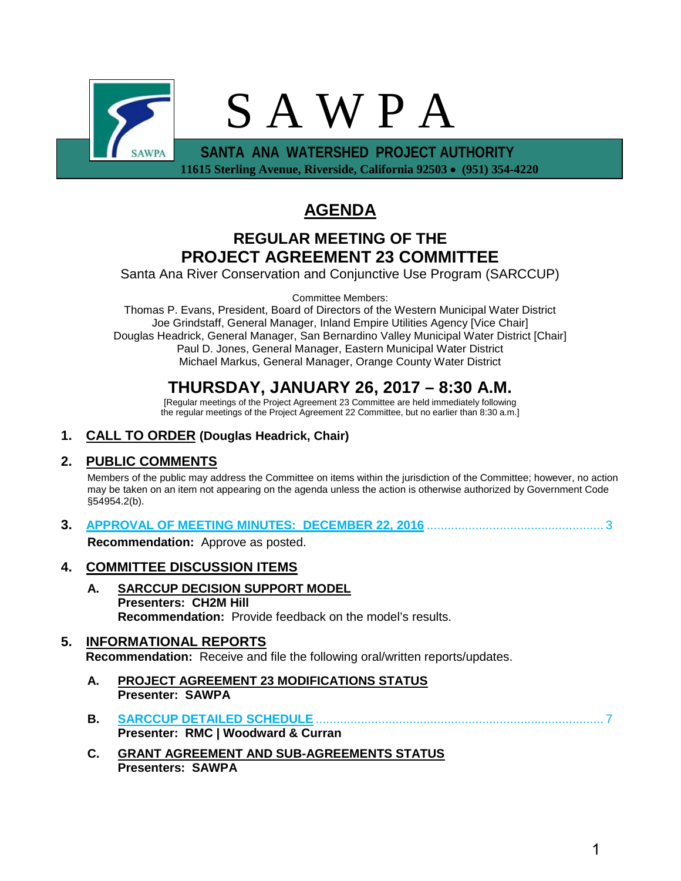

 **11615 Sterling Avenue, Riverside, California 92503** • **(951) 354-4220** 

# **AGENDA**

# **REGULAR MEETING OF THE PROJECT AGREEMENT 23 COMMITTEE**

Santa Ana River Conservation and Conjunctive Use Program (SARCCUP)

Committee Members:

Thomas P. Evans, President, Board of Directors of the Western Municipal Water District Joe Grindstaff, General Manager, Inland Empire Utilities Agency [Vice Chair] Douglas Headrick, General Manager, San Bernardino Valley Municipal Water District [Chair] Paul D. Jones, General Manager, Eastern Municipal Water District Michael Markus, General Manager, Orange County Water District

# **THURSDAY, JANUARY 26, 2017 – 8:30 A.M.**

[Regular meetings of the Project Agreement 23 Committee are held immediately following the regular meetings of the Project Agreement 22 Committee, but no earlier than 8:30 a.m.]

# **1. CALL TO ORDER (Douglas Headrick, Chair)**

# **2. PUBLIC COMMENTS**

Members of the public may address the Committee on items within the jurisdiction of the Committee; however, no action may be taken on an item not appearing on the agenda unless the action is otherwise authorized by Government Code §54954.2(b).

**3. [APPROVAL OF MEETING MINUTES: DECEMBER 22, 2016](#page-2-0)** ................................................... 3

**Recommendation:** Approve as posted.

# **4. COMMITTEE DISCUSSION ITEMS**

**A. SARCCUP DECISION SUPPORT MODEL Presenters: CH2M Hill Recommendation:** Provide feedback on the model's results.

# **5. INFORMATIONAL REPORTS**

**Recommendation:** Receive and file the following oral/written reports/updates.

- **A. PROJECT AGREEMENT 23 MODIFICATIONS STATUS Presenter: SAWPA**
- **B. SARCCUP DETAILED SCHEDULE** [...................................................................................](#page-6-0) 7 **Presenter: RMC | Woodward & Curran**
- **C. GRANT AGREEMENT AND SUB-AGREEMENTS STATUS Presenters: SAWPA**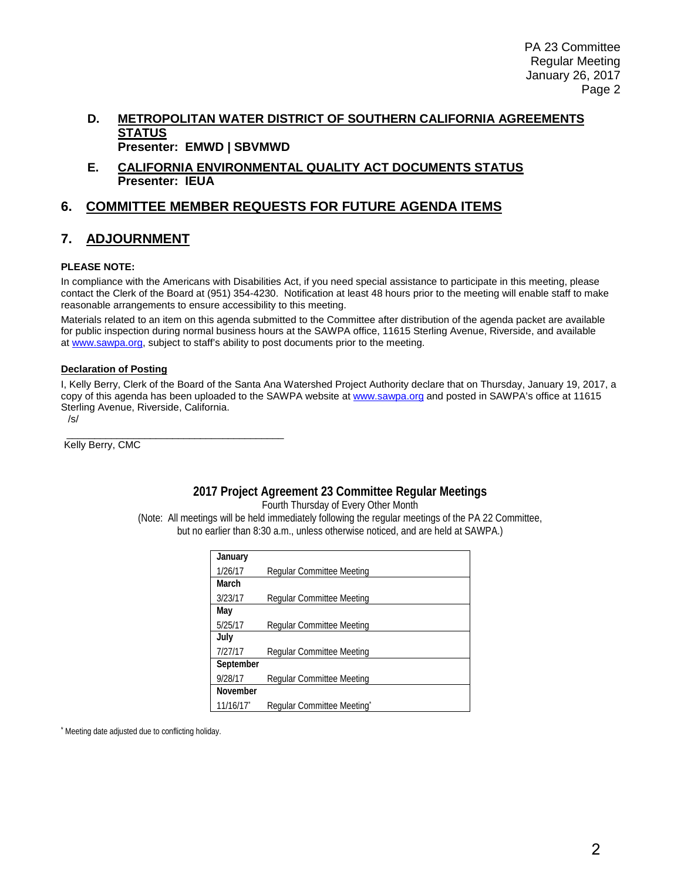#### **D. METROPOLITAN WATER DISTRICT OF SOUTHERN CALIFORNIA AGREEMENTS STATUS Presenter: EMWD | SBVMWD**

**E. CALIFORNIA ENVIRONMENTAL QUALITY ACT DOCUMENTS STATUS Presenter: IEUA**

#### **6. COMMITTEE MEMBER REQUESTS FOR FUTURE AGENDA ITEMS**

#### **7. ADJOURNMENT**

#### **PLEASE NOTE:**

In compliance with the Americans with Disabilities Act, if you need special assistance to participate in this meeting, please contact the Clerk of the Board at (951) 354-4230. Notification at least 48 hours prior to the meeting will enable staff to make reasonable arrangements to ensure accessibility to this meeting.

Materials related to an item on this agenda submitted to the Committee after distribution of the agenda packet are available for public inspection during normal business hours at the SAWPA office, 11615 Sterling Avenue, Riverside, and available at [www.sawpa.org,](http://www.sawpa.org/) subject to staff's ability to post documents prior to the meeting.

#### **Declaration of Posting**

I, Kelly Berry, Clerk of the Board of the Santa Ana Watershed Project Authority declare that on Thursday, January 19, 2017, a copy of this agenda has been uploaded to the SAWPA website a[t www.sawpa.org](http://www.sawpa.org/) and posted in SAWPA's office at 11615 Sterling Avenue, Riverside, California.

/s/

\_\_\_\_\_\_\_\_\_\_\_\_\_\_\_\_\_\_\_\_\_\_\_\_\_\_\_\_\_\_\_\_\_\_\_\_\_\_\_ Kelly Berry, CMC

#### **2017 Project Agreement 23 Committee Regular Meetings**

Fourth Thursday of Every Other Month

(Note: All meetings will be held immediately following the regular meetings of the PA 22 Committee, but no earlier than 8:30 a.m., unless otherwise noticed, and are held at SAWPA.)

| January   |                           |
|-----------|---------------------------|
| 1/26/17   | Regular Committee Meeting |
| March     |                           |
| 3/23/17   | Regular Committee Meeting |
| May       |                           |
| 5/25/17   | Regular Committee Meeting |
| July      |                           |
| 7/27/17   | Regular Committee Meeting |
| September |                           |
| 9/28/17   | Regular Committee Meeting |
| November  |                           |
| 11/16/17  | Regular Committee Meeting |

Meeting date adjusted due to conflicting holiday.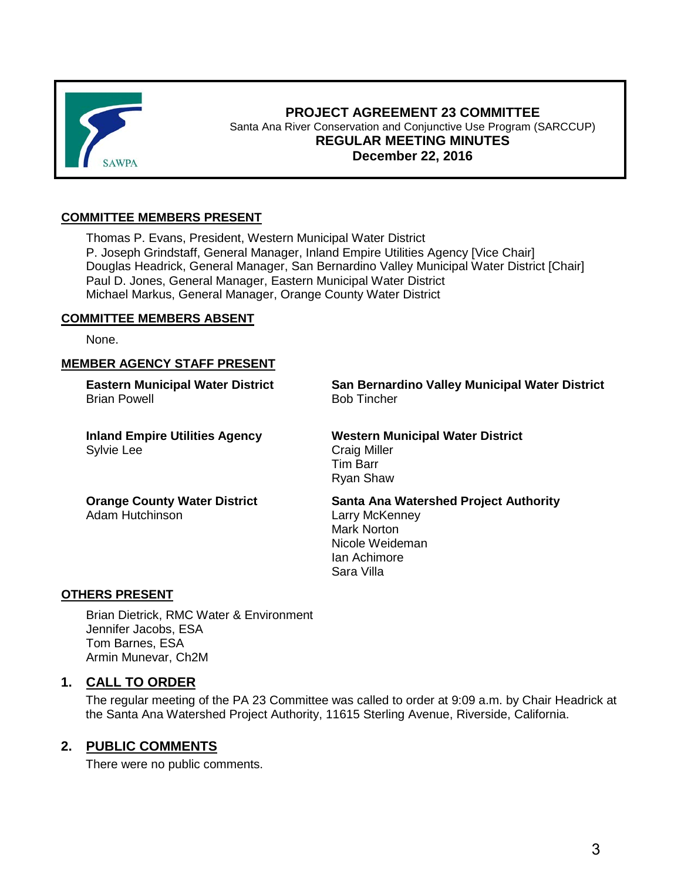<span id="page-2-0"></span>

#### **PROJECT AGREEMENT 23 COMMITTEE** Santa Ana River Conservation and Conjunctive Use Program (SARCCUP) **REGULAR MEETING MINUTES December 22, 2016**

#### **COMMITTEE MEMBERS PRESENT**

Thomas P. Evans, President, Western Municipal Water District P. Joseph Grindstaff, General Manager, Inland Empire Utilities Agency [Vice Chair] Douglas Headrick, General Manager, San Bernardino Valley Municipal Water District [Chair] Paul D. Jones, General Manager, Eastern Municipal Water District Michael Markus, General Manager, Orange County Water District

#### **COMMITTEE MEMBERS ABSENT**

None.

#### **MEMBER AGENCY STAFF PRESENT**

**Eastern Municipal Water District** Brian Powell

**Inland Empire Utilities Agency** Sylvie Lee

**San Bernardino Valley Municipal Water District** Bob Tincher

**Western Municipal Water District** Craig Miller Tim Barr Ryan Shaw

**Orange County Water District** Adam Hutchinson

**Santa Ana Watershed Project Authority** Larry McKenney Mark Norton Nicole Weideman Ian Achimore Sara Villa

#### **OTHERS PRESENT**

Brian Dietrick, RMC Water & Environment Jennifer Jacobs, ESA Tom Barnes, ESA Armin Munevar, Ch2M

#### **1. CALL TO ORDER**

The regular meeting of the PA 23 Committee was called to order at 9:09 a.m. by Chair Headrick at the Santa Ana Watershed Project Authority, 11615 Sterling Avenue, Riverside, California.

#### **2. PUBLIC COMMENTS**

There were no public comments.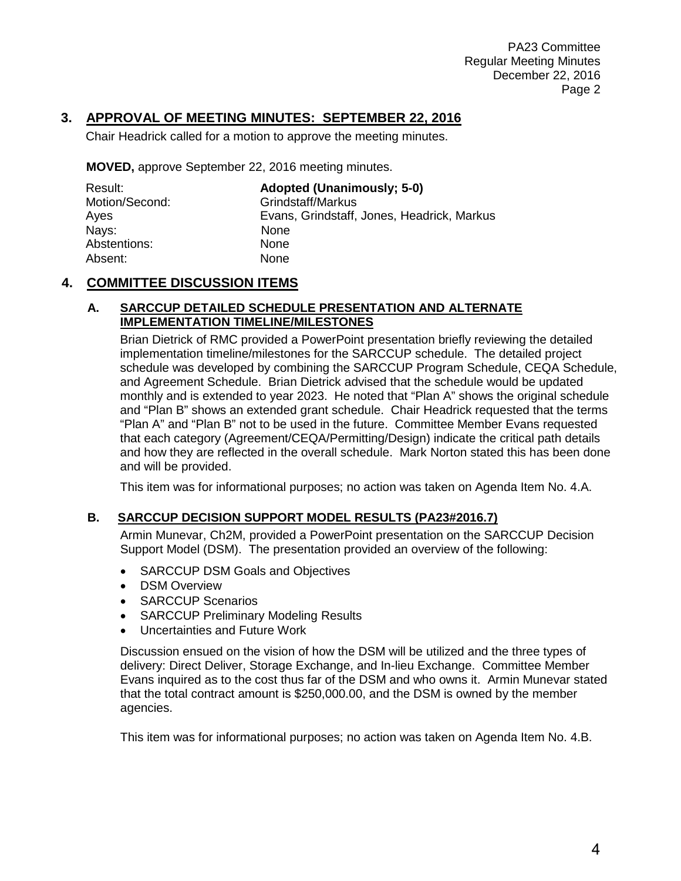PA23 Committee Regular Meeting Minutes December 22, 2016 Page 2

# **3. APPROVAL OF MEETING MINUTES: SEPTEMBER 22, 2016**

Chair Headrick called for a motion to approve the meeting minutes.

**MOVED,** approve September 22, 2016 meeting minutes.

| Result:        | <b>Adopted (Unanimously: 5-0)</b>          |
|----------------|--------------------------------------------|
| Motion/Second: | Grindstaff/Markus                          |
| Ayes           | Evans, Grindstaff, Jones, Headrick, Markus |
| Nays:          | <b>None</b>                                |
| Abstentions:   | <b>None</b>                                |
| Absent:        | None                                       |

#### **4. COMMITTEE DISCUSSION ITEMS**

#### **A. SARCCUP DETAILED SCHEDULE PRESENTATION AND ALTERNATE IMPLEMENTATION TIMELINE/MILESTONES**

Brian Dietrick of RMC provided a PowerPoint presentation briefly reviewing the detailed implementation timeline/milestones for the SARCCUP schedule. The detailed project schedule was developed by combining the SARCCUP Program Schedule, CEQA Schedule, and Agreement Schedule. Brian Dietrick advised that the schedule would be updated monthly and is extended to year 2023. He noted that "Plan A" shows the original schedule and "Plan B" shows an extended grant schedule. Chair Headrick requested that the terms "Plan A" and "Plan B" not to be used in the future. Committee Member Evans requested that each category (Agreement/CEQA/Permitting/Design) indicate the critical path details and how they are reflected in the overall schedule. Mark Norton stated this has been done and will be provided.

This item was for informational purposes; no action was taken on Agenda Item No. 4.A.

#### **B. SARCCUP DECISION SUPPORT MODEL RESULTS (PA23#2016.7)**

Armin Munevar, Ch2M, provided a PowerPoint presentation on the SARCCUP Decision Support Model (DSM). The presentation provided an overview of the following:

- SARCCUP DSM Goals and Objectives
- DSM Overview
- SARCCUP Scenarios
- SARCCUP Preliminary Modeling Results
- Uncertainties and Future Work

Discussion ensued on the vision of how the DSM will be utilized and the three types of delivery: Direct Deliver, Storage Exchange, and In-lieu Exchange. Committee Member Evans inquired as to the cost thus far of the DSM and who owns it. Armin Munevar stated that the total contract amount is \$250,000.00, and the DSM is owned by the member agencies.

This item was for informational purposes; no action was taken on Agenda Item No. 4.B.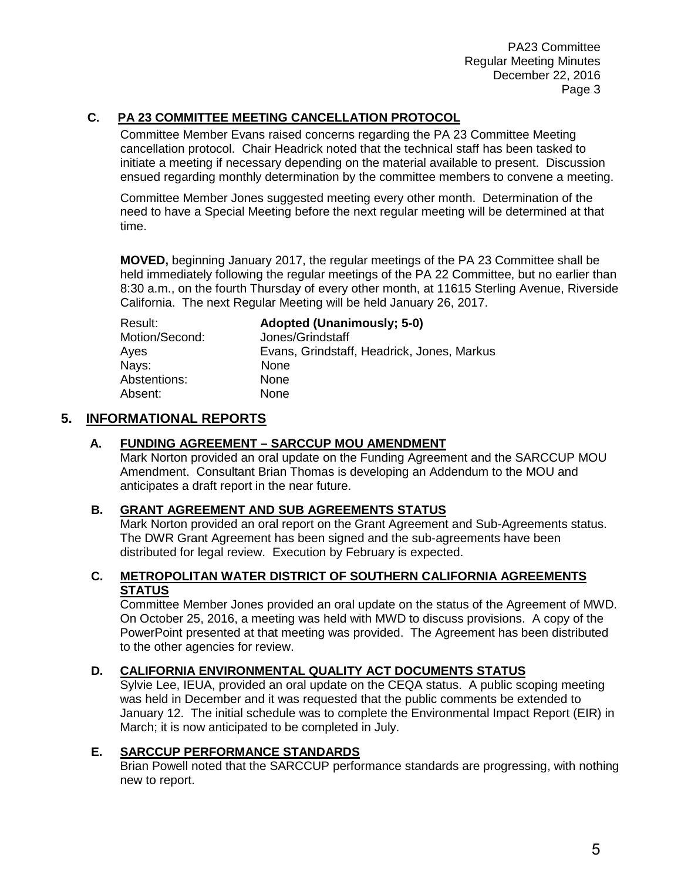PA23 Committee Regular Meeting Minutes December 22, 2016 Page 3

### **C. PA 23 COMMITTEE MEETING CANCELLATION PROTOCOL**

Committee Member Evans raised concerns regarding the PA 23 Committee Meeting cancellation protocol. Chair Headrick noted that the technical staff has been tasked to initiate a meeting if necessary depending on the material available to present. Discussion ensued regarding monthly determination by the committee members to convene a meeting.

Committee Member Jones suggested meeting every other month. Determination of the need to have a Special Meeting before the next regular meeting will be determined at that time.

**MOVED,** beginning January 2017, the regular meetings of the PA 23 Committee shall be held immediately following the regular meetings of the PA 22 Committee, but no earlier than 8:30 a.m., on the fourth Thursday of every other month, at 11615 Sterling Avenue, Riverside California. The next Regular Meeting will be held January 26, 2017.

| Result:        | <b>Adopted (Unanimously: 5-0)</b>          |
|----------------|--------------------------------------------|
| Motion/Second: | Jones/Grindstaff                           |
| Ayes           | Evans, Grindstaff, Headrick, Jones, Markus |
| Nays:          | None                                       |
| Abstentions:   | None                                       |
| Absent:        | <b>None</b>                                |

#### **5. INFORMATIONAL REPORTS**

#### **A. FUNDING AGREEMENT – SARCCUP MOU AMENDMENT**

Mark Norton provided an oral update on the Funding Agreement and the SARCCUP MOU Amendment. Consultant Brian Thomas is developing an Addendum to the MOU and anticipates a draft report in the near future.

#### **B. GRANT AGREEMENT AND SUB AGREEMENTS STATUS**

Mark Norton provided an oral report on the Grant Agreement and Sub-Agreements status. The DWR Grant Agreement has been signed and the sub-agreements have been distributed for legal review. Execution by February is expected.

#### **C. METROPOLITAN WATER DISTRICT OF SOUTHERN CALIFORNIA AGREEMENTS STATUS**

Committee Member Jones provided an oral update on the status of the Agreement of MWD. On October 25, 2016, a meeting was held with MWD to discuss provisions. A copy of the PowerPoint presented at that meeting was provided. The Agreement has been distributed to the other agencies for review.

#### **D. CALIFORNIA ENVIRONMENTAL QUALITY ACT DOCUMENTS STATUS**

Sylvie Lee, IEUA, provided an oral update on the CEQA status. A public scoping meeting was held in December and it was requested that the public comments be extended to January 12. The initial schedule was to complete the Environmental Impact Report (EIR) in March; it is now anticipated to be completed in July.

#### **E. SARCCUP PERFORMANCE STANDARDS**

Brian Powell noted that the SARCCUP performance standards are progressing, with nothing new to report.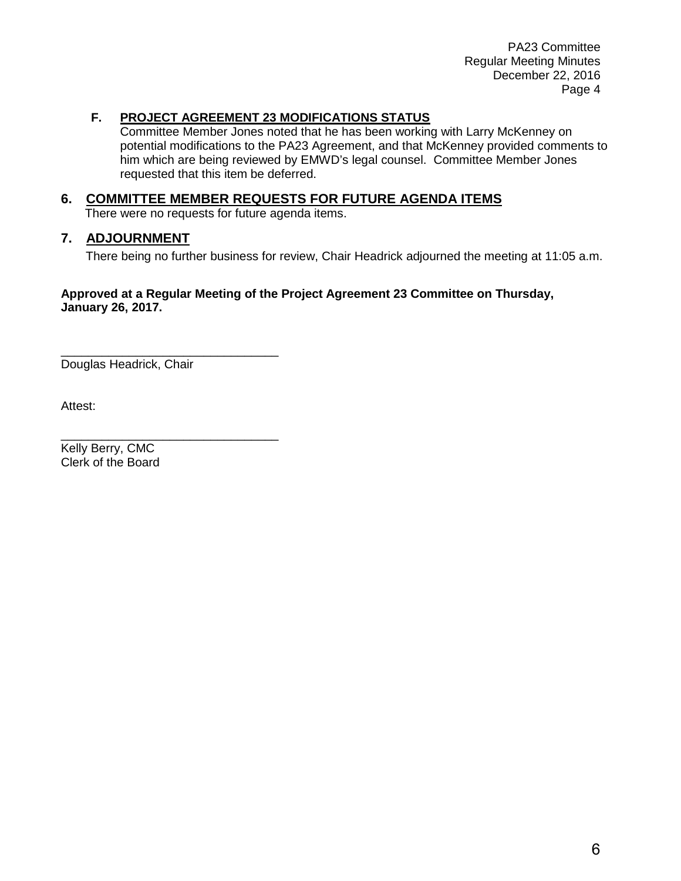PA23 Committee Regular Meeting Minutes December 22, 2016 Page 4

#### **F. PROJECT AGREEMENT 23 MODIFICATIONS STATUS**

Committee Member Jones noted that he has been working with Larry McKenney on potential modifications to the PA23 Agreement, and that McKenney provided comments to him which are being reviewed by EMWD's legal counsel. Committee Member Jones requested that this item be deferred.

#### **6. COMMITTEE MEMBER REQUESTS FOR FUTURE AGENDA ITEMS**

There were no requests for future agenda items.

#### **7. ADJOURNMENT**

There being no further business for review, Chair Headrick adjourned the meeting at 11:05 a.m.

#### **Approved at a Regular Meeting of the Project Agreement 23 Committee on Thursday, January 26, 2017.**

\_\_\_\_\_\_\_\_\_\_\_\_\_\_\_\_\_\_\_\_\_\_\_\_\_\_\_\_\_\_\_\_ Douglas Headrick, Chair

\_\_\_\_\_\_\_\_\_\_\_\_\_\_\_\_\_\_\_\_\_\_\_\_\_\_\_\_\_\_\_\_

Attest:

Kelly Berry, CMC Clerk of the Board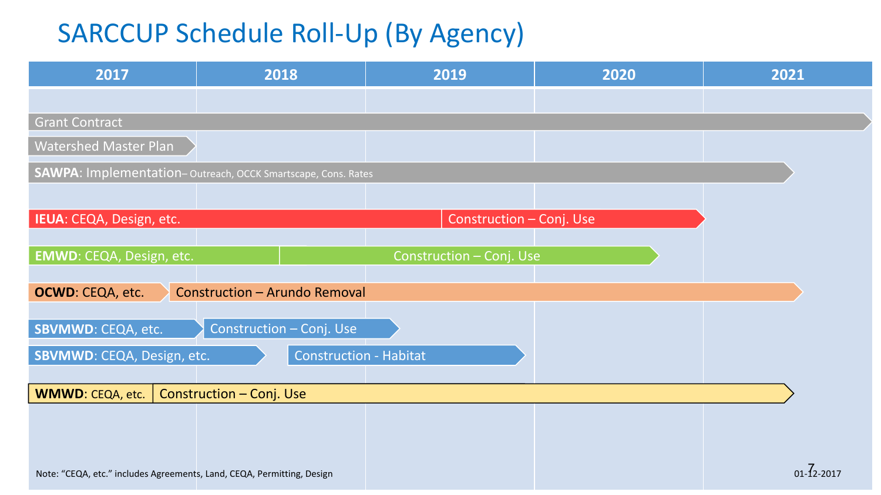# <span id="page-6-0"></span>SARCCUP Schedule Roll-Up (By Agency)

| 2017                                                                   | 2018                                                         | 2019                     | 2020 | 2021             |
|------------------------------------------------------------------------|--------------------------------------------------------------|--------------------------|------|------------------|
|                                                                        |                                                              |                          |      |                  |
| <b>Grant Contract</b>                                                  |                                                              |                          |      |                  |
| <b>Watershed Master Plan</b>                                           |                                                              |                          |      |                  |
|                                                                        | SAWPA: Implementation-Outreach, OCCK Smartscape, Cons. Rates |                          |      |                  |
|                                                                        |                                                              |                          |      |                  |
| IEUA: CEQA, Design, etc.                                               |                                                              | Construction - Conj. Use |      |                  |
|                                                                        |                                                              |                          |      |                  |
| EMWD: CEQA, Design, etc.                                               |                                                              | Construction - Conj. Use |      |                  |
| OCWD: CEQA, etc.                                                       | <b>Construction - Arundo Removal</b>                         |                          |      |                  |
|                                                                        | Construction - Conj. Use                                     |                          |      |                  |
| <b>SBVMWD: CEQA, etc.</b>                                              |                                                              |                          |      |                  |
| SBVMWD: CEQA, Design, etc.                                             | <b>Construction - Habitat</b>                                |                          |      |                  |
| <b>WMWD: CEQA, etc.</b>                                                | Construction - Conj. Use                                     |                          |      |                  |
|                                                                        |                                                              |                          |      |                  |
|                                                                        |                                                              |                          |      |                  |
|                                                                        |                                                              |                          |      | $01 - 72 - 2017$ |
| Note: "CEQA, etc." includes Agreements, Land, CEQA, Permitting, Design |                                                              |                          |      |                  |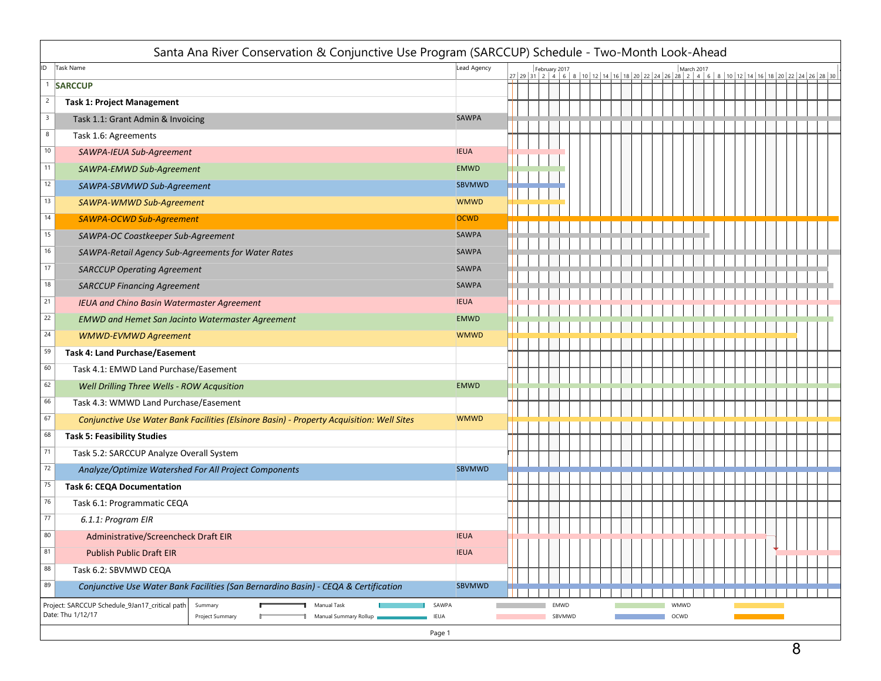| Santa Ana River Conservation & Conjunctive Use Program (SARCCUP) Schedule - Two-Month Look-Ahead                                          |                      |                                                                                                                        |                |  |  |              |  |  |  |  |  |  |  |  |
|-------------------------------------------------------------------------------------------------------------------------------------------|----------------------|------------------------------------------------------------------------------------------------------------------------|----------------|--|--|--------------|--|--|--|--|--|--|--|--|
| ID<br><b>Task Name</b>                                                                                                                    | Lead Agency          | February 2017<br>March 2017<br>27 29 31 2 4 6 8 10 12 14 16 18 20 22 24 26 28 2 4 6 8 10 12 14 16 18 20 22 24 26 28 30 |                |  |  |              |  |  |  |  |  |  |  |  |
| <sup>1</sup> SARCCUP                                                                                                                      |                      |                                                                                                                        |                |  |  |              |  |  |  |  |  |  |  |  |
| $\overline{c}$<br><b>Task 1: Project Management</b>                                                                                       |                      |                                                                                                                        |                |  |  |              |  |  |  |  |  |  |  |  |
| $\mathbf{3}$<br>Task 1.1: Grant Admin & Invoicing                                                                                         | <b>SAWPA</b>         |                                                                                                                        |                |  |  |              |  |  |  |  |  |  |  |  |
| 8<br>Task 1.6: Agreements                                                                                                                 |                      |                                                                                                                        |                |  |  |              |  |  |  |  |  |  |  |  |
| 10<br>SAWPA-IEUA Sub-Agreement                                                                                                            | <b>IEUA</b>          |                                                                                                                        |                |  |  |              |  |  |  |  |  |  |  |  |
| 11<br>SAWPA-EMWD Sub-Agreement                                                                                                            | <b>EMWD</b>          |                                                                                                                        |                |  |  |              |  |  |  |  |  |  |  |  |
| 12<br>SAWPA-SBVMWD Sub-Agreement                                                                                                          | SBVMWD               |                                                                                                                        |                |  |  |              |  |  |  |  |  |  |  |  |
| 13<br>SAWPA-WMWD Sub-Agreement                                                                                                            | <b>WMWD</b>          |                                                                                                                        |                |  |  |              |  |  |  |  |  |  |  |  |
| 14<br>SAWPA-OCWD Sub-Agreement                                                                                                            | <b>OCWD</b>          |                                                                                                                        |                |  |  |              |  |  |  |  |  |  |  |  |
| 15<br>SAWPA-OC Coastkeeper Sub-Agreement                                                                                                  | <b>SAWPA</b>         |                                                                                                                        |                |  |  |              |  |  |  |  |  |  |  |  |
| 16<br>SAWPA-Retail Agency Sub-Agreements for Water Rates                                                                                  | <b>SAWPA</b>         |                                                                                                                        |                |  |  |              |  |  |  |  |  |  |  |  |
| 17<br><b>SARCCUP Operating Agreement</b>                                                                                                  | SAWPA                |                                                                                                                        |                |  |  |              |  |  |  |  |  |  |  |  |
| 18<br><b>SARCCUP Financing Agreement</b>                                                                                                  | SAWPA                |                                                                                                                        |                |  |  |              |  |  |  |  |  |  |  |  |
| IEUA and Chino Basin Watermaster Agreement                                                                                                | <b>IEUA</b>          |                                                                                                                        |                |  |  |              |  |  |  |  |  |  |  |  |
| 22<br><b>EMWD and Hemet San Jacinto Watermaster Agreement</b>                                                                             | <b>EMWD</b>          |                                                                                                                        |                |  |  |              |  |  |  |  |  |  |  |  |
| 24<br><b>WMWD-EVMWD Agreement</b>                                                                                                         | <b>WMWD</b>          |                                                                                                                        |                |  |  |              |  |  |  |  |  |  |  |  |
| 59<br><b>Task 4: Land Purchase/Easement</b>                                                                                               |                      |                                                                                                                        |                |  |  |              |  |  |  |  |  |  |  |  |
| 60<br>Task 4.1: EMWD Land Purchase/Easement                                                                                               |                      |                                                                                                                        |                |  |  |              |  |  |  |  |  |  |  |  |
| 62<br>Well Drilling Three Wells - ROW Acqusition                                                                                          | <b>EMWD</b>          |                                                                                                                        |                |  |  |              |  |  |  |  |  |  |  |  |
| 66<br>Task 4.3: WMWD Land Purchase/Easement                                                                                               |                      |                                                                                                                        |                |  |  |              |  |  |  |  |  |  |  |  |
| 67<br>Conjunctive Use Water Bank Facilities (Elsinore Basin) - Property Acquisition: Well Sites                                           | <b>WMWD</b>          |                                                                                                                        |                |  |  |              |  |  |  |  |  |  |  |  |
| 68<br><b>Task 5: Feasibility Studies</b>                                                                                                  |                      |                                                                                                                        |                |  |  |              |  |  |  |  |  |  |  |  |
| 71<br>Task 5.2: SARCCUP Analyze Overall System                                                                                            |                      |                                                                                                                        |                |  |  |              |  |  |  |  |  |  |  |  |
| 72<br>Analyze/Optimize Watershed For All Project Components                                                                               | SBVMWD               |                                                                                                                        |                |  |  |              |  |  |  |  |  |  |  |  |
| 75<br><b>Task 6: CEQA Documentation</b>                                                                                                   |                      |                                                                                                                        |                |  |  |              |  |  |  |  |  |  |  |  |
| 76<br>Task 6.1: Programmatic CEQA                                                                                                         |                      |                                                                                                                        |                |  |  |              |  |  |  |  |  |  |  |  |
| 77<br>6.1.1: Program EIR                                                                                                                  |                      |                                                                                                                        |                |  |  |              |  |  |  |  |  |  |  |  |
| 80<br>Administrative/Screencheck Draft EIR                                                                                                | <b>IEUA</b>          |                                                                                                                        |                |  |  |              |  |  |  |  |  |  |  |  |
| 81<br><b>Publish Public Draft EIR</b>                                                                                                     | <b>IEUA</b>          |                                                                                                                        |                |  |  |              |  |  |  |  |  |  |  |  |
| 88<br>Task 6.2: SBVMWD CEQA                                                                                                               |                      |                                                                                                                        |                |  |  |              |  |  |  |  |  |  |  |  |
| 89<br>Conjunctive Use Water Bank Facilities (San Bernardino Basin) - CEQA & Certification                                                 | SBVMWD               |                                                                                                                        |                |  |  |              |  |  |  |  |  |  |  |  |
| Project: SARCCUP Schedule_9Jan17_critical path<br>Manual Task<br>Summary<br>Date: Thu 1/12/17<br>Manual Summary Rollup<br>Project Summary | SAWPA<br><b>IEUA</b> |                                                                                                                        | EMWD<br>SBVMWD |  |  | WMWD<br>OCWD |  |  |  |  |  |  |  |  |
|                                                                                                                                           | Page 1               |                                                                                                                        |                |  |  |              |  |  |  |  |  |  |  |  |